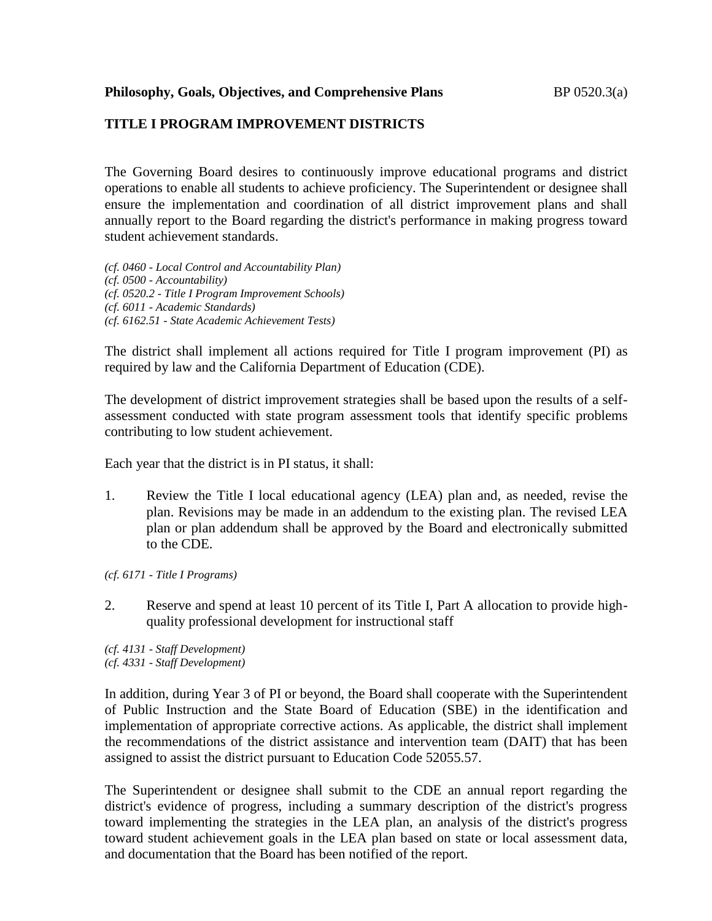### **TITLE I PROGRAM IMPROVEMENT DISTRICTS**

The Governing Board desires to continuously improve educational programs and district operations to enable all students to achieve proficiency. The Superintendent or designee shall ensure the implementation and coordination of all district improvement plans and shall annually report to the Board regarding the district's performance in making progress toward student achievement standards.

*(cf. 0460 - Local Control and Accountability Plan) (cf. 0500 - Accountability) (cf. 0520.2 - Title I Program Improvement Schools) (cf. 6011 - Academic Standards) (cf. 6162.51 - State Academic Achievement Tests)*

The district shall implement all actions required for Title I program improvement (PI) as required by law and the California Department of Education (CDE).

The development of district improvement strategies shall be based upon the results of a selfassessment conducted with state program assessment tools that identify specific problems contributing to low student achievement.

Each year that the district is in PI status, it shall:

1. Review the Title I local educational agency (LEA) plan and, as needed, revise the plan. Revisions may be made in an addendum to the existing plan. The revised LEA plan or plan addendum shall be approved by the Board and electronically submitted to the CDE.

*(cf. 6171 - Title I Programs)*

2. Reserve and spend at least 10 percent of its Title I, Part A allocation to provide highquality professional development for instructional staff

*(cf. 4131 - Staff Development) (cf. 4331 - Staff Development)*

In addition, during Year 3 of PI or beyond, the Board shall cooperate with the Superintendent of Public Instruction and the State Board of Education (SBE) in the identification and implementation of appropriate corrective actions. As applicable, the district shall implement the recommendations of the district assistance and intervention team (DAIT) that has been assigned to assist the district pursuant to Education Code 52055.57.

The Superintendent or designee shall submit to the CDE an annual report regarding the district's evidence of progress, including a summary description of the district's progress toward implementing the strategies in the LEA plan, an analysis of the district's progress toward student achievement goals in the LEA plan based on state or local assessment data, and documentation that the Board has been notified of the report.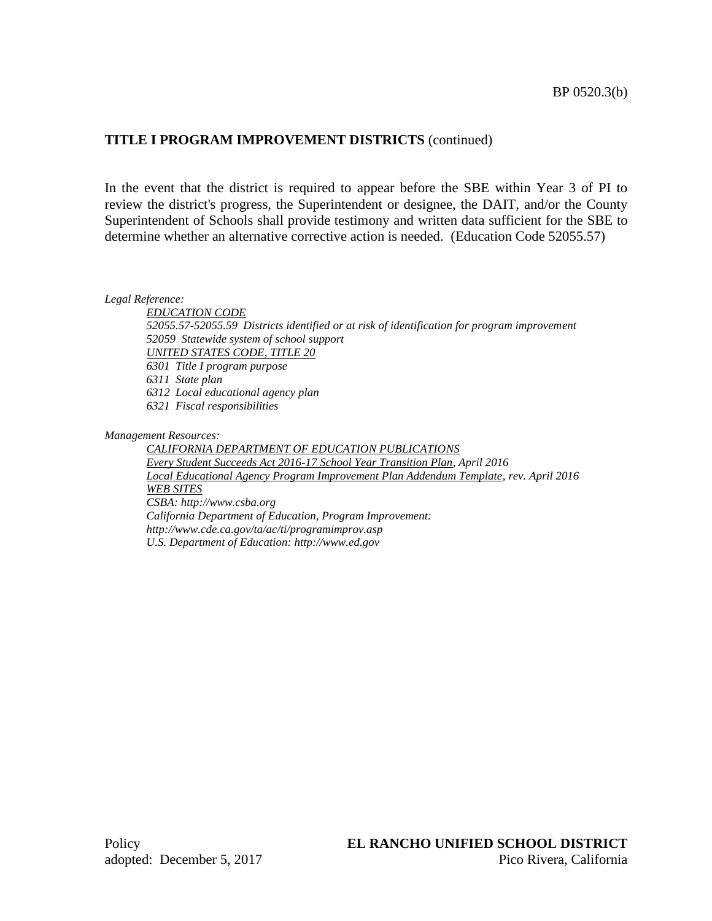### **TITLE I PROGRAM IMPROVEMENT DISTRICTS** (continued)

In the event that the district is required to appear before the SBE within Year 3 of PI to review the district's progress, the Superintendent or designee, the DAIT, and/or the County Superintendent of Schools shall provide testimony and written data sufficient for the SBE to determine whether an alternative corrective action is needed. (Education Code 52055.57)

*Legal Reference:*

*EDUCATION CODE 52055.57-52055.59 Districts identified or at risk of identification for program improvement 52059 Statewide system of school support UNITED STATES CODE, TITLE 20 6301 Title I program purpose 6311 State plan 6312 Local educational agency plan 6321 Fiscal responsibilities*

*Management Resources:*

*CALIFORNIA DEPARTMENT OF EDUCATION PUBLICATIONS Every Student Succeeds Act 2016-17 School Year Transition Plan, April 2016 Local Educational Agency Program Improvement Plan Addendum Template, rev. April 2016 WEB SITES CSBA: http://www.csba.org California Department of Education, Program Improvement: http://www.cde.ca.gov/ta/ac/ti/programimprov.asp U.S. Department of Education: http://www.ed.gov*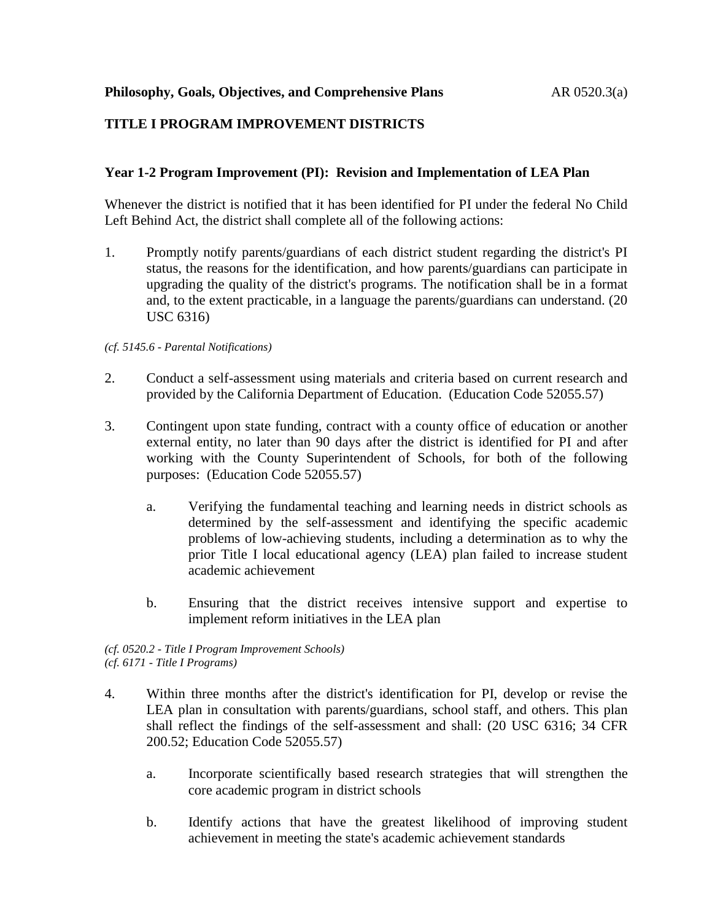# **TITLE I PROGRAM IMPROVEMENT DISTRICTS**

### **Year 1-2 Program Improvement (PI): Revision and Implementation of LEA Plan**

Whenever the district is notified that it has been identified for PI under the federal No Child Left Behind Act, the district shall complete all of the following actions:

1. Promptly notify parents/guardians of each district student regarding the district's PI status, the reasons for the identification, and how parents/guardians can participate in upgrading the quality of the district's programs. The notification shall be in a format and, to the extent practicable, in a language the parents/guardians can understand. (20 USC 6316)

#### *(cf. 5145.6 - Parental Notifications)*

- 2. Conduct a self-assessment using materials and criteria based on current research and provided by the California Department of Education. (Education Code 52055.57)
- 3. Contingent upon state funding, contract with a county office of education or another external entity, no later than 90 days after the district is identified for PI and after working with the County Superintendent of Schools, for both of the following purposes: (Education Code 52055.57)
	- a. Verifying the fundamental teaching and learning needs in district schools as determined by the self-assessment and identifying the specific academic problems of low-achieving students, including a determination as to why the prior Title I local educational agency (LEA) plan failed to increase student academic achievement
	- b. Ensuring that the district receives intensive support and expertise to implement reform initiatives in the LEA plan

*(cf. 0520.2 - Title I Program Improvement Schools) (cf. 6171 - Title I Programs)*

- 4. Within three months after the district's identification for PI, develop or revise the LEA plan in consultation with parents/guardians, school staff, and others. This plan shall reflect the findings of the self-assessment and shall: (20 USC 6316; 34 CFR 200.52; Education Code 52055.57)
	- a. Incorporate scientifically based research strategies that will strengthen the core academic program in district schools
	- b. Identify actions that have the greatest likelihood of improving student achievement in meeting the state's academic achievement standards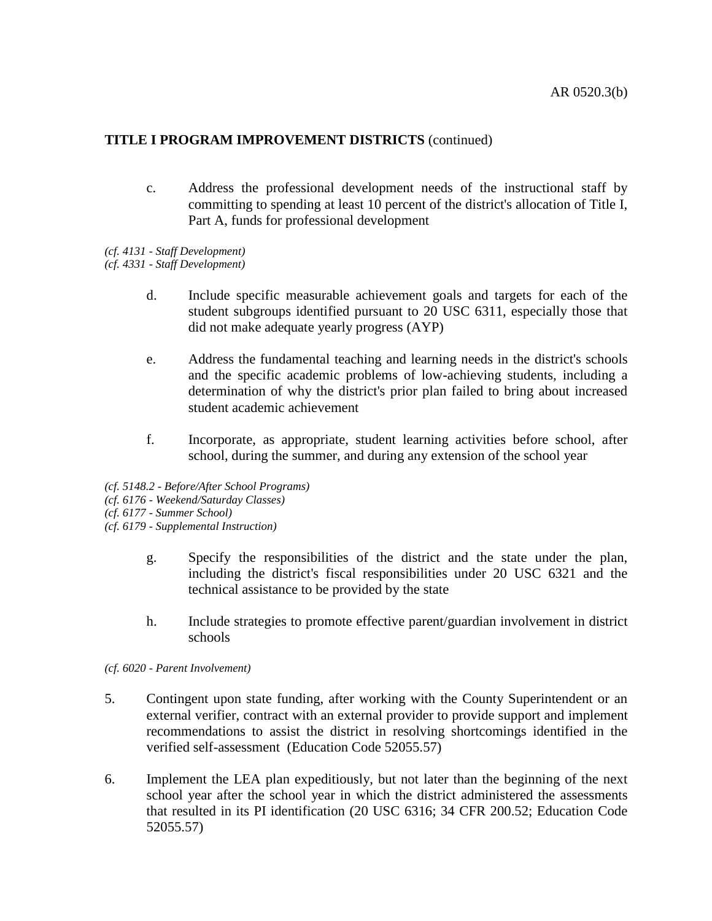### **TITLE I PROGRAM IMPROVEMENT DISTRICTS** (continued)

- c. Address the professional development needs of the instructional staff by committing to spending at least 10 percent of the district's allocation of Title I, Part A, funds for professional development
- *(cf. 4131 - Staff Development)*
- *(cf. 4331 - Staff Development)*
	- d. Include specific measurable achievement goals and targets for each of the student subgroups identified pursuant to 20 USC 6311, especially those that did not make adequate yearly progress (AYP)
	- e. Address the fundamental teaching and learning needs in the district's schools and the specific academic problems of low-achieving students, including a determination of why the district's prior plan failed to bring about increased student academic achievement
	- f. Incorporate, as appropriate, student learning activities before school, after school, during the summer, and during any extension of the school year
- *(cf. 5148.2 - Before/After School Programs)*
- *(cf. 6176 - Weekend/Saturday Classes)*
- *(cf. 6177 - Summer School)*
- *(cf. 6179 - Supplemental Instruction)*
	- g. Specify the responsibilities of the district and the state under the plan, including the district's fiscal responsibilities under 20 USC 6321 and the technical assistance to be provided by the state
	- h. Include strategies to promote effective parent/guardian involvement in district schools

*(cf. 6020 - Parent Involvement)*

- 5. Contingent upon state funding, after working with the County Superintendent or an external verifier, contract with an external provider to provide support and implement recommendations to assist the district in resolving shortcomings identified in the verified self-assessment (Education Code 52055.57)
- 6. Implement the LEA plan expeditiously, but not later than the beginning of the next school year after the school year in which the district administered the assessments that resulted in its PI identification (20 USC 6316; 34 CFR 200.52; Education Code 52055.57)